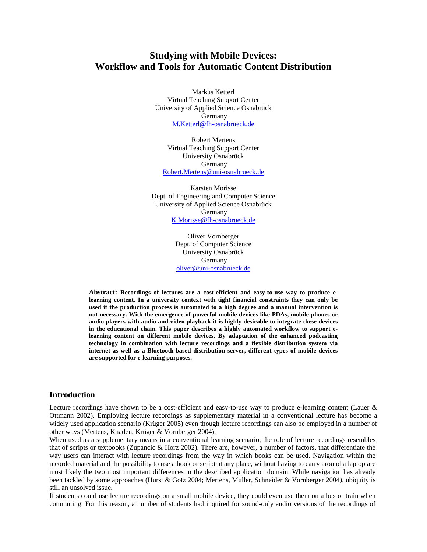# **Studying with Mobile Devices: Workflow and Tools for Automatic Content Distribution**

Markus Ketterl Virtual Teaching Support Center University of Applied Science Osnabrück Germany [M.Ketterl@fh-osnabrueck.de](mailto:M.Ketterl@fh-osnabrueck.de)

Robert Mertens Virtual Teaching Support Center University Osnabrück **Germany** [Robert.Mertens@uni-osnabrueck.de](mailto:Robert.Mertens@uni-osnabrueck.de)

Karsten Morisse Dept. of Engineering and Computer Science University of Applied Science Osnabrück Germany [K.Morisse@fh-osnabrueck.de](mailto:K.Morisse@fh-osnabrueck.de)

> Oliver Vornberger Dept. of Computer Science University Osnabrück Germany [oliver@uni-osnabrueck.de](mailto:oliver@uni-osnabrueck.de)

**Abstract: Recordings of lectures are a cost-efficient and easy-to-use way to produce elearning content. In a university context with tight financial constraints they can only be used if the production process is automated to a high degree and a manual intervention is not necessary. With the emergence of powerful mobile devices like PDAs, mobile phones or audio players with audio and video playback it is highly desirable to integrate these devices in the educational chain. This paper describes a highly automated workflow to support elearning content on different mobile devices. By adaptation of the enhanced podcasting technology in combination with lecture recordings and a flexible distribution system via internet as well as a Bluetooth-based distribution server, different types of mobile devices are supported for e-learning purposes.** 

#### **Introduction**

Lecture recordings have shown to be a cost-efficient and easy-to-use way to produce e-learning content (Lauer & Ottmann 2002). Employing lecture recordings as supplementary material in a conventional lecture has become a widely used application scenario (Krüger 2005) even though lecture recordings can also be employed in a number of other ways (Mertens, Knaden, Krüger & Vornberger 2004).

When used as a supplementary means in a conventional learning scenario, the role of lecture recordings resembles that of scripts or textbooks (Zupancic & Horz 2002). There are, however, a number of factors, that differentiate the way users can interact with lecture recordings from the way in which books can be used. Navigation within the recorded material and the possibility to use a book or script at any place, without having to carry around a laptop are most likely the two most important differences in the described application domain. While navigation has already been tackled by some approaches (Hürst & Götz 2004; Mertens, Müller, Schneider & Vornberger 2004), ubiquity is still an unsolved issue.

If students could use lecture recordings on a small mobile device, they could even use them on a bus or train when commuting. For this reason, a number of students had inquired for sound-only audio versions of the recordings of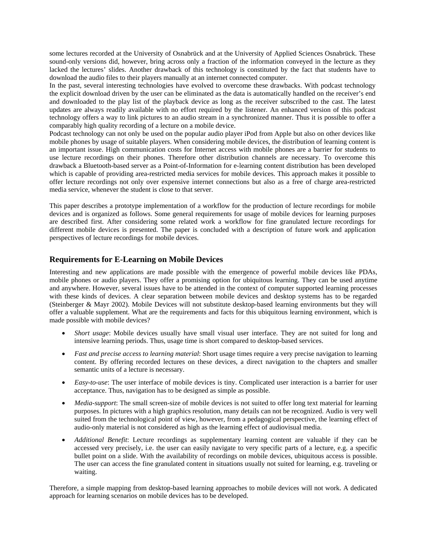some lectures recorded at the University of Osnabrück and at the University of Applied Sciences Osnabrück. These sound-only versions did, however, bring across only a fraction of the information conveyed in the lecture as they lacked the lectures' slides. Another drawback of this technology is constituted by the fact that students have to download the audio files to their players manually at an internet connected computer.

In the past, several interesting technologies have evolved to overcome these drawbacks. With podcast technology the explicit download driven by the user can be eliminated as the data is automatically handled on the receiver's end and downloaded to the play list of the playback device as long as the receiver subscribed to the cast. The latest updates are always readily available with no effort required by the listener. An enhanced version of this podcast technology offers a way to link pictures to an audio stream in a synchronized manner. Thus it is possible to offer a comparably high quality recording of a lecture on a mobile device.

Podcast technology can not only be used on the popular audio player iPod from Apple but also on other devices like mobile phones by usage of suitable players. When considering mobile devices, the distribution of learning content is an important issue. High communication costs for Internet access with mobile phones are a barrier for students to use lecture recordings on their phones. Therefore other distribution channels are necessary. To overcome this drawback a Bluetooth-based server as a Point-of-Information for e-learning content distribution has been developed which is capable of providing area-restricted media services for mobile devices. This approach makes it possible to offer lecture recordings not only over expensive internet connections but also as a free of charge area-restricted media service, whenever the student is close to that server.

This paper describes a prototype implementation of a workflow for the production of lecture recordings for mobile devices and is organized as follows. Some general requirements for usage of mobile devices for learning purposes are described first. After considering some related work a workflow for fine granulated lecture recordings for different mobile devices is presented. The paper is concluded with a description of future work and application perspectives of lecture recordings for mobile devices.

### **Requirements for E-Learning on Mobile Devices**

Interesting and new applications are made possible with the emergence of powerful mobile devices like PDAs, mobile phones or audio players. They offer a promising option for ubiquitous learning. They can be used anytime and anywhere. However, several issues have to be attended in the context of computer supported learning processes with these kinds of devices. A clear separation between mobile devices and desktop systems has to be regarded (Steinberger & Mayr 2002). Mobile Devices will not substitute desktop-based learning environments but they will offer a valuable supplement. What are the requirements and facts for this ubiquitous learning environment, which is made possible with mobile devices?

- *Short usage*: Mobile devices usually have small visual user interface. They are not suited for long and intensive learning periods. Thus, usage time is short compared to desktop-based services.
- *Fast and precise access to learning material*: Short usage times require a very precise navigation to learning content. By offering recorded lectures on these devices, a direct navigation to the chapters and smaller semantic units of a lecture is necessary.
- *Easy-to-use*: The user interface of mobile devices is tiny. Complicated user interaction is a barrier for user acceptance. Thus, navigation has to be designed as simple as possible.
- *Media-support*: The small screen-size of mobile devices is not suited to offer long text material for learning purposes. In pictures with a high graphics resolution, many details can not be recognized. Audio is very well suited from the technological point of view, however, from a pedagogical perspective, the learning effect of audio-only material is not considered as high as the learning effect of audiovisual media.
- *Additional Benefit*: Lecture recordings as supplementary learning content are valuable if they can be accessed very precisely, i.e. the user can easily navigate to very specific parts of a lecture, e.g. a specific bullet point on a slide. With the availability of recordings on mobile devices, ubiquitous access is possible. The user can access the fine granulated content in situations usually not suited for learning, e.g. traveling or waiting.

Therefore, a simple mapping from desktop-based learning approaches to mobile devices will not work. A dedicated approach for learning scenarios on mobile devices has to be developed.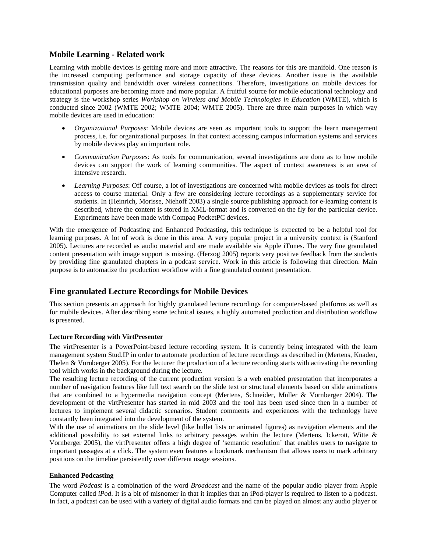### **Mobile Learning - Related work**

Learning with mobile devices is getting more and more attractive. The reasons for this are manifold. One reason is the increased computing performance and storage capacity of these devices. Another issue is the available transmission quality and bandwidth over wireless connections. Therefore, investigations on mobile devices for educational purposes are becoming more and more popular. A fruitful source for mobile educational technology and strategy is the workshop series *Workshop on Wireless and Mobile Technologies in Education* (WMTE), which is conducted since 2002 (WMTE 2002; WMTE 2004; WMTE 2005). There are three main purposes in which way mobile devices are used in education:

- *Organizational Purposes*: Mobile devices are seen as important tools to support the learn management process, i.e. for organizational purposes. In that context accessing campus information systems and services by mobile devices play an important role.
- *Communication Purposes*: As tools for communication, several investigations are done as to how mobile devices can support the work of learning communities. The aspect of context awareness is an area of intensive research.
- *Learning Purposes*: Off course, a lot of investigations are concerned with mobile devices as tools for direct access to course material. Only a few are considering lecture recordings as a supplementary service for students. In (Heinrich, Morisse, Niehoff 2003) a single source publishing approach for e-learning content is described, where the content is stored in XML-format and is converted on the fly for the particular device. Experiments have been made with Compaq PocketPC devices.

With the emergence of Podcasting and Enhanced Podcasting, this technique is expected to be a helpful tool for learning purposes. A lot of work is done in this area. A very popular project in a university context is (Stanford 2005). Lectures are recorded as audio material and are made available via Apple iTunes. The very fine granulated content presentation with image support is missing. (Herzog 2005) reports very positive feedback from the students by providing fine granulated chapters in a podcast service. Work in this article is following that direction. Main purpose is to automatize the production workflow with a fine granulated content presentation.

## **Fine granulated Lecture Recordings for Mobile Devices**

This section presents an approach for highly granulated lecture recordings for computer-based platforms as well as for mobile devices. After describing some technical issues, a highly automated production and distribution workflow is presented.

#### **Lecture Recording with VirtPresenter**

The virtPresenter is a PowerPoint-based lecture recording system. It is currently being integrated with the learn management system Stud.IP in order to automate production of lecture recordings as described in (Mertens, Knaden, Thelen & Vornberger 2005). For the lecturer the production of a lecture recording starts with activating the recording tool which works in the background during the lecture.

The resulting lecture recording of the current production version is a web enabled presentation that incorporates a number of navigation features like full text search on the slide text or structural elements based on slide animations that are combined to a hypermedia navigation concept (Mertens, Schneider, Müller & Vornberger 2004). The development of the virtPresenter has started in mid 2003 and the tool has been used since then in a number of lectures to implement several didactic scenarios. Student comments and experiences with the technology have constantly been integrated into the development of the system.

With the use of animations on the slide level (like bullet lists or animated figures) as navigation elements and the additional possibility to set external links to arbitrary passages within the lecture (Mertens, Ickerott, Witte  $\&$ Vornberger 2005), the virtPresenter offers a high degree of 'semantic resolution' that enables users to navigate to important passages at a click. The system even features a bookmark mechanism that allows users to mark arbitrary positions on the timeline persistently over different usage sessions.

#### **Enhanced Podcasting**

The word *Podcast* is a combination of the word *Broadcast* and the name of the popular audio player from Apple Computer called *iPod*. It is a bit of misnomer in that it implies that an iPod-player is required to listen to a podcast. In fact, a podcast can be used with a variety of digital audio formats and can be played on almost any audio player or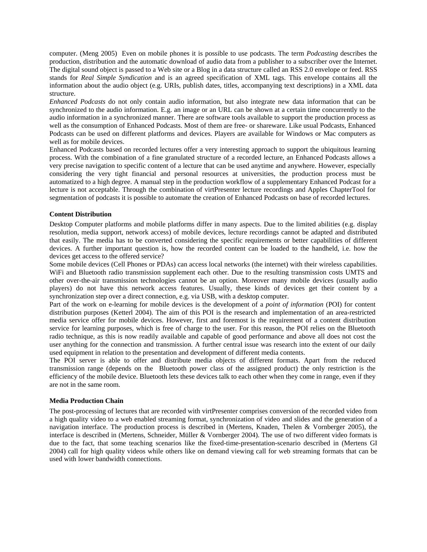computer. (Meng 2005) Even on mobile phones it is possible to use podcasts. The term *Podcasting* describes the production, distribution and the automatic download of audio data from a publisher to a subscriber over the Internet. The digital sound object is passed to a Web site or a Blog in a data structure called an RSS 2.0 envelope or feed. RSS stands for *Real Simple Syndication* and is an agreed specification of XML tags. This envelope contains all the information about the audio object (e.g. URIs, publish dates, titles, accompanying text descriptions) in a XML data structure.

*Enhanced Podcasts* do not only contain audio information, but also integrate new data information that can be synchronized to the audio information. E.g. an image or an URL can be shown at a certain time concurrently to the audio information in a synchronized manner. There are software tools available to support the production process as well as the consumption of Enhanced Podcasts. Most of them are free- or shareware. Like usual Podcasts, Enhanced Podcasts can be used on different platforms and devices. Players are available for Windows or Mac computers as well as for mobile devices.

Enhanced Podcasts based on recorded lectures offer a very interesting approach to support the ubiquitous learning process. With the combination of a fine granulated structure of a recorded lecture, an Enhanced Podcasts allows a very precise navigation to specific content of a lecture that can be used anytime and anywhere. However, especially considering the very tight financial and personal resources at universities, the production process must be automatized to a high degree. A manual step in the production workflow of a supplementary Enhanced Podcast for a lecture is not acceptable. Through the combination of virtPresenter lecture recordings and Apples ChapterTool for segmentation of podcasts it is possible to automate the creation of Enhanced Podcasts on base of recorded lectures.

#### **Content Distribution**

Desktop Computer platforms and mobile platforms differ in many aspects. Due to the limited abilities (e.g. display resolution, media support, network access) of mobile devices, lecture recordings cannot be adapted and distributed that easily. The media has to be converted considering the specific requirements or better capabilities of different devices. A further important question is, how the recorded content can be loaded to the handheld, i.e. how the devices get access to the offered service?

Some mobile devices (Cell Phones or PDAs) can access local networks (the internet) with their wireless capabilities. WiFi and Bluetooth radio transmission supplement each other. Due to the resulting transmission costs UMTS and other over-the-air transmission technologies cannot be an option. Moreover many mobile devices (usually audio players) do not have this network access features. Usually, these kinds of devices get their content by a synchronization step over a direct connection, e.g. via USB, with a desktop computer.

Part of the work on e-learning for mobile devices is the development of a *point of information* (POI) for content distribution purposes (Ketterl 2004). The aim of this POI is the research and implementation of an area-restricted media service offer for mobile devices. However, first and foremost is the requirement of a content distribution service for learning purposes, which is free of charge to the user. For this reason, the POI relies on the Bluetooth radio technique, as this is now readily available and capable of good performance and above all does not cost the user anything for the connection and transmission. A further central issue was research into the extent of our daily used equipment in relation to the presentation and development of different media contents.

The POI server is able to offer and distribute media objects of different formats. Apart from the reduced transmission range (depends on the Bluetooth power class of the assigned product) the only restriction is the efficiency of the mobile device. Bluetooth lets these devices talk to each other when they come in range, even if they are not in the same room.

#### **Media Production Chain**

The post-processing of lectures that are recorded with virtPresenter comprises conversion of the recorded video from a high quality video to a web enabled streaming format, synchronization of video and slides and the generation of a navigation interface. The production process is described in (Mertens, Knaden, Thelen & Vornberger 2005), the interface is described in (Mertens, Schneider, Müller & Vornberger 2004). The use of two different video formats is due to the fact, that some teaching scenarios like the fixed-time-presentation-scenario described in (Mertens GI 2004) call for high quality videos while others like on demand viewing call for web streaming formats that can be used with lower bandwidth connections.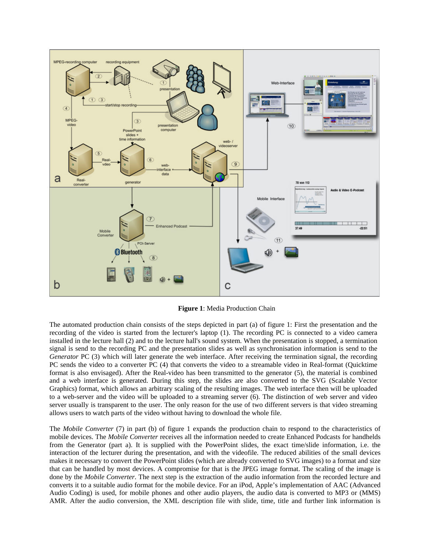

**Figure 1**: Media Production Chain

The automated production chain consists of the steps depicted in part (a) of figure 1: First the presentation and the recording of the video is started from the lecturer's laptop (1). The recording PC is connected to a video camera installed in the lecture hall (2) and to the lecture hall's sound system. When the presentation is stopped, a termination signal is send to the recording PC and the presentation slides as well as synchronisation information is send to the *Generator* PC (3) which will later generate the web interface. After receiving the termination signal, the recording PC sends the video to a converter PC (4) that converts the video to a streamable video in Real-format (Quicktime format is also envisaged). After the Real-video has been transmitted to the generator (5), the material is combined and a web interface is generated. During this step, the slides are also converted to the SVG (Scalable Vector Graphics) format, which allows an arbitrary scaling of the resulting images. The web interface then will be uploaded to a web-server and the video will be uploaded to a streaming server (6). The distinction of web server and video server usually is transparent to the user. The only reason for the use of two different servers is that video streaming allows users to watch parts of the video without having to download the whole file.

The *Mobile Converter* (7) in part (b) of figure 1 expands the production chain to respond to the characteristics of mobile devices. The *Mobile Converter* receives all the information needed to create Enhanced Podcasts for handhelds from the Generator (part a). It is supplied with the PowerPoint slides, the exact time/slide information, i.e. the interaction of the lecturer during the presentation, and with the videofile. The reduced abilities of the small devices makes it necessary to convert the PowerPoint slides (which are already converted to SVG images) to a format and size that can be handled by most devices. A compromise for that is the JPEG image format. The scaling of the image is done by the *Mobile Converter*. The next step is the extraction of the audio information from the recorded lecture and converts it to a suitable audio format for the mobile device. For an iPod, Apple's implementation of AAC (Advanced Audio Coding) is used, for mobile phones and other audio players, the audio data is converted to MP3 or (MMS) AMR. After the audio conversion, the XML description file with slide, time, title and further link information is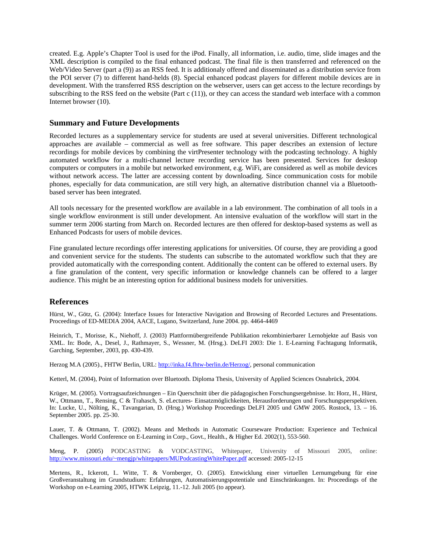created. E.g. Apple's Chapter Tool is used for the iPod. Finally, all information, i.e. audio, time, slide images and the XML description is compiled to the final enhanced podcast. The final file is then transferred and referenced on the Web/Video Server (part a (9)) as an RSS feed. It is additionaly offered and disseminated as a distribution service from the POI server (7) to different hand-helds (8). Special enhanced podcast players for different mobile devices are in development. With the transferred RSS description on the webserver, users can get access to the lecture recordings by subscribing to the RSS feed on the website (Part  $c(11)$ ), or they can access the standard web interface with a common Internet browser (10).

### **Summary and Future Developments**

Recorded lectures as a supplementary service for students are used at several universities. Different technological approaches are available – commercial as well as free software. This paper describes an extension of lecture recordings for mobile devices by combining the virtPresenter technology with the podcasting technology. A highly automated workflow for a multi-channel lecture recording service has been presented. Services for desktop computers or computers in a mobile but networked environment, e.g. WiFi, are considered as well as mobile devices without network access. The latter are accessing content by downloading. Since communication costs for mobile phones, especially for data communication, are still very high, an alternative distribution channel via a Bluetoothbased server has been integrated.

All tools necessary for the presented workflow are available in a lab environment. The combination of all tools in a single workflow environment is still under development. An intensive evaluation of the workflow will start in the summer term 2006 starting from March on. Recorded lectures are then offered for desktop-based systems as well as Enhanced Podcasts for users of mobile devices.

Fine granulated lecture recordings offer interesting applications for universities. Of course, they are providing a good and convenient service for the students. The students can subscribe to the automated workflow such that they are provided automatically with the corresponding content. Additionally the content can be offered to external users. By a fine granulation of the content, very specific information or knowledge channels can be offered to a larger audience. This might be an interesting option for additional business models for universities.

### **References**

Hürst, W., Götz, G. (2004): Interface Issues for Interactive Navigation and Browsing of Recorded Lectures and Presentations. Proceedings of ED-MEDIA 2004, AACE, Lugano, Switzerland, June 2004. pp. 4464-4469

Heinrich, T., Morisse, K., Niehoff, J. (2003) Plattformübergreifende Publikation rekombinierbarer Lernobjekte auf Basis von XML. In: Bode, A., Desel, J., Rathmayer, S., Wessner, M. (Hrsg.). DeLFI 2003: Die 1. E-Learning Fachtagung Informatik, Garching, September, 2003, pp. 430-439.

Herzog M.A (2005)., FHTW Berlin, URL: [http://inka.f4.fhtw-berlin.de/Herzog/,](http://inka.f4.fhtw-berlin.de/Herzog/) personal communication

Ketterl, M. (2004), Point of Information over Bluetooth. Diploma Thesis, University of Applied Sciences Osnabrück, 2004.

Krüger, M. (2005). Vortragsaufzeichnungen – Ein Querschnitt über die pädagogischen Forschungsergebnisse. In: Horz, H., Hürst, W., Ottmann, T., Rensing, C & Trahasch, S. eLectures- Einsatzmöglichkeiten, Herausforderungen und Forschungsperspektiven. In: Lucke, U., Nölting, K., Tavangarian, D. (Hrsg.) Workshop Proceedings DeLFI 2005 und GMW 2005. Rostock, 13. – 16. September 2005. pp. 25-30.

Lauer, T. & Ottmann, T. (2002). Means and Methods in Automatic Courseware Production: Experience and Technical Challenges. World Conference on E-Learning in Corp., Govt., Health., & Higher Ed. 2002(1), 553-560.

Meng, P. (2005) PODCASTING & VODCASTING, Whitepaper, University of Missouri 2005, online: [http://www.missouri.edu/~mengjp/whitepapers/MUPodcastingWhitePaper.pdf](http://www.missouri.edu/%7Emengjp/whitepapers/MUPodcastingWhitePaper.pdf) accessed: 2005-12-15

Mertens, R., Ickerott, I.. Witte, T. & Vornberger, O. (2005). Entwicklung einer virtuellen Lernumgebung für eine Großveranstaltung im Grundstudium: Erfahrungen, Automatisierungspotentiale und Einschränkungen. In: Proceedings of the Workshop on e-Learning 2005, HTWK Leipzig, 11.-12. Juli 2005 (to appear).